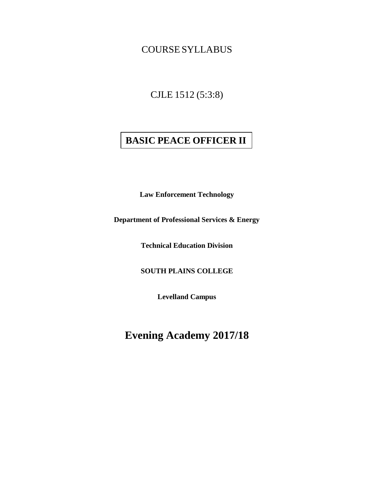COURSE SYLLABUS

CJLE 1512 (5:3:8)

# **BASIC PEACE OFFICER II**

**Law Enforcement Technology** 

**Department of Professional Services & Energy**

**Technical Education Division** 

**SOUTH PLAINS COLLEGE**

**Levelland Campus**

**Evening Academy 2017/18**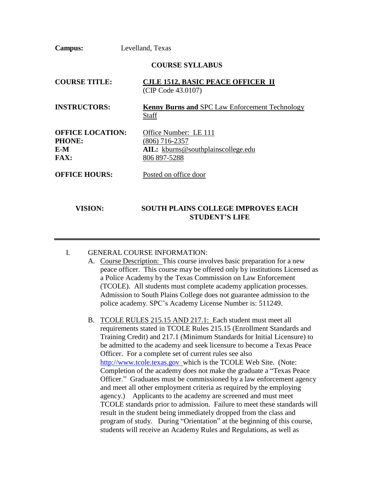**Campus:** Levelland, Texas

#### **COURSE SYLLABUS**

| <b>COURSE TITLE:</b>                                           | <b>CJLE 1512, BASIC PEACE OFFICER II</b><br>(CIP Code 43.0107)                                  |  |
|----------------------------------------------------------------|-------------------------------------------------------------------------------------------------|--|
| <b>INSTRUCTORS:</b>                                            | <b>Kenny Burns and SPC Law Enforcement Technology</b><br><b>Staff</b>                           |  |
| <b>OFFICE LOCATION:</b><br><b>PHONE:</b><br>E-M<br><b>FAX:</b> | Office Number: LE 111<br>$(806)$ 716-2357<br>AIL: kburns@southplainscollege.edu<br>806 897-5288 |  |
| <b>OFFICE HOURS:</b>                                           | Posted on office door                                                                           |  |
| <b>VISION:</b>                                                 | <b>SOUTH PLAINS COLLEGE IMPROVES EACH</b><br><b>STUDENT'S LIFE</b>                              |  |

# I. GENERAL COURSE INFORMATION:

- A. Course Description: This course involves basic preparation for a new peace officer. This course may be offered only by institutions Licensed as a Police Academy by the Texas Commission on Law Enforcement (TCOLE). All students must complete academy application processes. Admission to South Plains College does not guarantee admission to the police academy. SPC's Academy License Number is: 511249.
- B. TCOLE RULES 215.15 AND 217.1: Each student must meet all requirements stated in TCOLE Rules 215.15 (Enrollment Standards and Training Credit) and 217.1 (Minimum Standards for Initial Licensure) to be admitted to the academy and seek licensure to become a Texas Peace Officer. For a complete set of current rules see also [http://www.tcole.texas.gov w](http://www.tcole.texas.gov/)hich is the TCOLE Web Site. (Note: Completion of the academy does not make the graduate a "Texas Peace Officer." Graduates must be commissioned by a law enforcement agency and meet all other employment criteria as required by the employing agency.) Applicants to the academy are screened and must meet TCOLE standards prior to admission. Failure to meet these standards will result in the student being immediately dropped from the class and program of study. During "Orientation" at the beginning of this course, students will receive an Academy Rules and Regulations, as well as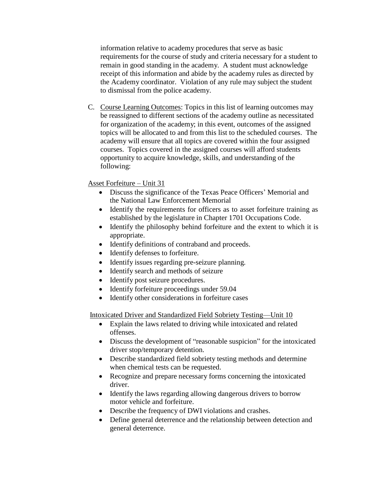information relative to academy procedures that serve as basic requirements for the course of study and criteria necessary for a student to remain in good standing in the academy. A student must acknowledge receipt of this information and abide by the academy rules as directed by the Academy coordinator. Violation of any rule may subject the student to dismissal from the police academy.

C. Course Learning Outcomes: Topics in this list of learning outcomes may be reassigned to different sections of the academy outline as necessitated for organization of the academy; in this event, outcomes of the assigned topics will be allocated to and from this list to the scheduled courses. The academy will ensure that all topics are covered within the four assigned courses. Topics covered in the assigned courses will afford students opportunity to acquire knowledge, skills, and understanding of the following:

# Asset Forfeiture – Unit 31

- Discuss the significance of the Texas Peace Officers' Memorial and the National Law Enforcement Memorial
- Identify the requirements for officers as to asset forfeiture training as established by the legislature in Chapter 1701 Occupations Code.
- Identify the philosophy behind forfeiture and the extent to which it is appropriate.
- Identify definitions of contraband and proceeds.
- Identify defenses to forfeiture.
- Identify issues regarding pre-seizure planning.
- Identify search and methods of seizure
- Identify post seizure procedures.
- Identify forfeiture proceedings under 59.04
- Identify other considerations in forfeiture cases

Intoxicated Driver and Standardized Field Sobriety Testing—Unit 10

- Explain the laws related to driving while intoxicated and related offenses.
- Discuss the development of "reasonable suspicion" for the intoxicated driver stop/temporary detention.
- Describe standardized field sobriety testing methods and determine when chemical tests can be requested.
- Recognize and prepare necessary forms concerning the intoxicated driver.
- Identify the laws regarding allowing dangerous drivers to borrow motor vehicle and forfeiture.
- Describe the frequency of DWI violations and crashes.
- Define general deterrence and the relationship between detection and general deterrence.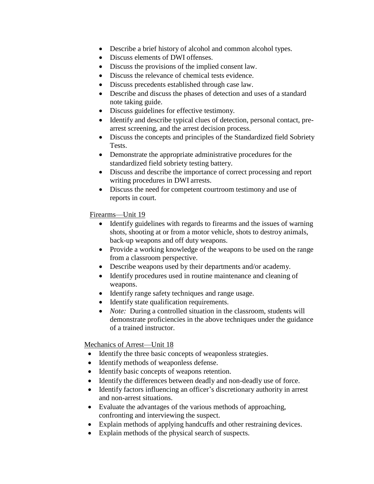- Describe a brief history of alcohol and common alcohol types.
- Discuss elements of DWI offenses.
- Discuss the provisions of the implied consent law.
- Discuss the relevance of chemical tests evidence.
- Discuss precedents established through case law.
- Describe and discuss the phases of detection and uses of a standard note taking guide.
- Discuss guidelines for effective testimony.
- Identify and describe typical clues of detection, personal contact, prearrest screening, and the arrest decision process.
- Discuss the concepts and principles of the Standardized field Sobriety Tests.
- Demonstrate the appropriate administrative procedures for the standardized field sobriety testing battery.
- Discuss and describe the importance of correct processing and report writing procedures in DWI arrests.
- Discuss the need for competent courtroom testimony and use of reports in court.

Firearms—Unit 19

- Identify guidelines with regards to firearms and the issues of warning shots, shooting at or from a motor vehicle, shots to destroy animals, back-up weapons and off duty weapons.
- Provide a working knowledge of the weapons to be used on the range from a classroom perspective.
- Describe weapons used by their departments and/or academy.
- Identify procedures used in routine maintenance and cleaning of weapons.
- Identify range safety techniques and range usage.
- Identify state qualification requirements.
- *Note:* During a controlled situation in the classroom, students will demonstrate proficiencies in the above techniques under the guidance of a trained instructor.

Mechanics of Arrest—Unit 18

- Identify the three basic concepts of weaponless strategies.
- Identify methods of weaponless defense.
- Identify basic concepts of weapons retention.
- Identify the differences between deadly and non-deadly use of force.
- Identify factors influencing an officer's discretionary authority in arrest and non-arrest situations.
- Evaluate the advantages of the various methods of approaching, confronting and interviewing the suspect.
- Explain methods of applying handcuffs and other restraining devices.
- Explain methods of the physical search of suspects.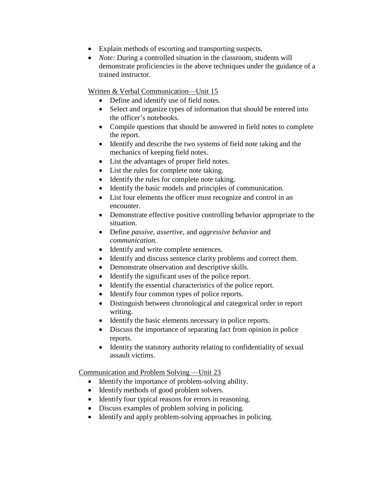- Explain methods of escorting and transporting suspects.
- *Note:* During a controlled situation in the classroom, students will demonstrate proficiencies in the above techniques under the guidance of a trained instructor.

Written & Verbal Communication—Unit 15

- Define and identify use of field notes.
- Select and organize types of information that should be entered into the officer's notebooks.
- Compile questions that should be answered in field notes to complete the report.
- Identify and describe the two systems of field note taking and the mechanics of keeping field notes.
- List the advantages of proper field notes.
- List the rules for complete note taking.
- Identify the rules for complete note taking.
- Identify the basic models and principles of communication.
- List four elements the officer must recognize and control in an encounter.
- Demonstrate effective positive controlling behavior appropriate to the situation.
- Define *passive, assertive*, and *aggressive behavior* and *communication.*
- Identify and write complete sentences.
- Identify and discuss sentence clarity problems and correct them.
- Demonstrate observation and descriptive skills.
- Identify the significant uses of the police report.
- Identify the essential characteristics of the police report.
- Identify four common types of police reports.
- Distinguish between chronological and categorical order in report writing.
- Identify the basic elements necessary in police reports.
- Discuss the importance of separating fact from opinion in police reports.
- Identity the statutory authority relating to confidentiality of sexual assault victims.

Communication and Problem Solving —Unit 23

- Identify the importance of problem-solving ability.
- Identify methods of good problem solvers.
- Identify four typical reasons for errors in reasoning.
- Discuss examples of problem solving in policing.
- Identify and apply problem-solving approaches in policing.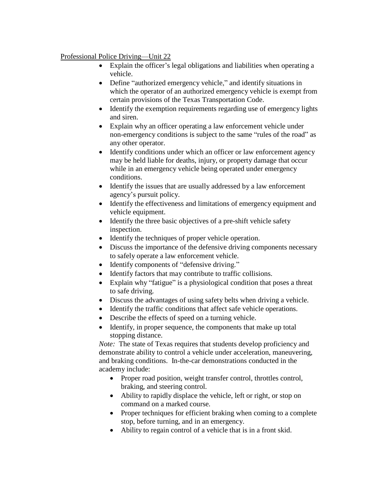# Professional Police Driving—Unit 22

- Explain the officer's legal obligations and liabilities when operating a vehicle.
- Define "authorized emergency vehicle," and identify situations in which the operator of an authorized emergency vehicle is exempt from certain provisions of the Texas Transportation Code.
- Identify the exemption requirements regarding use of emergency lights and siren.
- Explain why an officer operating a law enforcement vehicle under non-emergency conditions is subject to the same "rules of the road" as any other operator.
- Identify conditions under which an officer or law enforcement agency may be held liable for deaths, injury, or property damage that occur while in an emergency vehicle being operated under emergency conditions.
- Identify the issues that are usually addressed by a law enforcement agency's pursuit policy.
- Identify the effectiveness and limitations of emergency equipment and vehicle equipment.
- Identify the three basic objectives of a pre-shift vehicle safety inspection.
- Identify the techniques of proper vehicle operation.
- Discuss the importance of the defensive driving components necessary to safely operate a law enforcement vehicle.
- Identify components of "defensive driving."
- Identify factors that may contribute to traffic collisions.
- Explain why "fatigue" is a physiological condition that poses a threat to safe driving.
- Discuss the advantages of using safety belts when driving a vehicle.
- Identify the traffic conditions that affect safe vehicle operations.
- Describe the effects of speed on a turning vehicle.
- Identify, in proper sequence, the components that make up total stopping distance.

*Note:* The state of Texas requires that students develop proficiency and demonstrate ability to control a vehicle under acceleration, maneuvering, and braking conditions. In-the-car demonstrations conducted in the academy include:

- Proper road position, weight transfer control, throttles control, braking, and steering control.
- Ability to rapidly displace the vehicle, left or right, or stop on command on a marked course.
- Proper techniques for efficient braking when coming to a complete stop, before turning, and in an emergency.
- Ability to regain control of a vehicle that is in a front skid.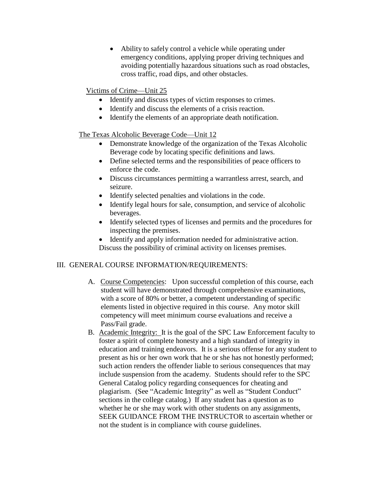• Ability to safely control a vehicle while operating under emergency conditions, applying proper driving techniques and avoiding potentially hazardous situations such as road obstacles, cross traffic, road dips, and other obstacles.

# Victims of Crime—Unit 25

- Identify and discuss types of victim responses to crimes.
- Identify and discuss the elements of a crisis reaction.
- Identify the elements of an appropriate death notification.

#### The Texas Alcoholic Beverage Code—Unit 12

- Demonstrate knowledge of the organization of the Texas Alcoholic Beverage code by locating specific definitions and laws.
- Define selected terms and the responsibilities of peace officers to enforce the code.
- Discuss circumstances permitting a warrantless arrest, search, and seizure.
- Identify selected penalties and violations in the code.
- Identify legal hours for sale, consumption, and service of alcoholic beverages.
- Identify selected types of licenses and permits and the procedures for inspecting the premises.
- Identify and apply information needed for administrative action. Discuss the possibility of criminal activity on licenses premises.

#### III. GENERAL COURSE INFORMATION/REQUIREMENTS:

- A. Course Competencies: Upon successful completion of this course, each student will have demonstrated through comprehensive examinations, with a score of 80% or better, a competent understanding of specific elements listed in objective required in this course. Any motor skill competency will meet minimum course evaluations and receive a Pass/Fail grade.
- B. Academic Integrity: It is the goal of the SPC Law Enforcement faculty to foster a spirit of complete honesty and a high standard of integrity in education and training endeavors. It is a serious offense for any student to present as his or her own work that he or she has not honestly performed; such action renders the offender liable to serious consequences that may include suspension from the academy. Students should refer to the SPC General Catalog policy regarding consequences for cheating and plagiarism. (See "Academic Integrity" as well as "Student Conduct" sections in the college catalog.) If any student has a question as to whether he or she may work with other students on any assignments, SEEK GUIDANCE FROM THE INSTRUCTOR to ascertain whether or not the student is in compliance with course guidelines.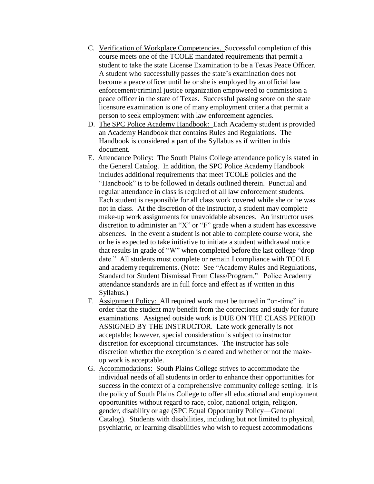- C. Verification of Workplace Competencies. Successful completion of this course meets one of the TCOLE mandated requirements that permit a student to take the state License Examination to be a Texas Peace Officer. A student who successfully passes the state's examination does not become a peace officer until he or she is employed by an official law enforcement/criminal justice organization empowered to commission a peace officer in the state of Texas. Successful passing score on the state licensure examination is one of many employment criteria that permit a person to seek employment with law enforcement agencies.
- D. The SPC Police Academy Handbook: Each Academy student is provided an Academy Handbook that contains Rules and Regulations. The Handbook is considered a part of the Syllabus as if written in this document.
- E. Attendance Policy: The South Plains College attendance policy is stated in the General Catalog. In addition, the SPC Police Academy Handbook includes additional requirements that meet TCOLE policies and the "Handbook" is to be followed in details outlined therein. Punctual and regular attendance in class is required of all law enforcement students. Each student is responsible for all class work covered while she or he was not in class. At the discretion of the instructor, a student may complete make-up work assignments for unavoidable absences. An instructor uses discretion to administer an "X" or "F" grade when a student has excessive absences. In the event a student is not able to complete course work, she or he is expected to take initiative to initiate a student withdrawal notice that results in grade of "W" when completed before the last college "drop date." All students must complete or remain I compliance with TCOLE and academy requirements. (Note: See "Academy Rules and Regulations, Standard for Student Dismissal From Class/Program." Police Academy attendance standards are in full force and effect as if written in this Syllabus.)
- F. Assignment Policy: All required work must be turned in "on-time" in order that the student may benefit from the corrections and study for future examinations. Assigned outside work is DUE ON THE CLASS PERIOD ASSIGNED BY THE INSTRUCTOR. Late work generally is not acceptable; however, special consideration is subject to instructor discretion for exceptional circumstances. The instructor has sole discretion whether the exception is cleared and whether or not the makeup work is acceptable.
- G. Accommodations: South Plains College strives to accommodate the individual needs of all students in order to enhance their opportunities for success in the context of a comprehensive community college setting. It is the policy of South Plains College to offer all educational and employment opportunities without regard to race, color, national origin, religion, gender, disability or age (SPC Equal Opportunity Policy—General Catalog). Students with disabilities, including but not limited to physical, psychiatric, or learning disabilities who wish to request accommodations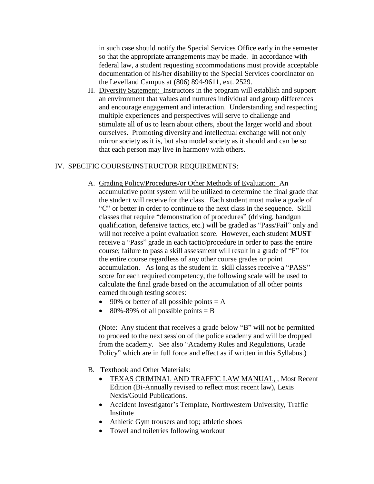in such case should notify the Special Services Office early in the semester so that the appropriate arrangements may be made. In accordance with federal law, a student requesting accommodations must provide acceptable documentation of his/her disability to the Special Services coordinator on the Levelland Campus at (806) 894-9611, ext. 2529.

H. Diversity Statement: Instructors in the program will establish and support an environment that values and nurtures individual and group differences and encourage engagement and interaction. Understanding and respecting multiple experiences and perspectives will serve to challenge and stimulate all of us to learn about others, about the larger world and about ourselves. Promoting diversity and intellectual exchange will not only mirror society as it is, but also model society as it should and can be so that each person may live in harmony with others.

#### IV. SPECIFIC COURSE/INSTRUCTOR REQUIREMENTS:

- A. Grading Policy/Procedures/or Other Methods of Evaluation: An accumulative point system will be utilized to determine the final grade that the student will receive for the class. Each student must make a grade of "C" or better in order to continue to the next class in the sequence. Skill classes that require "demonstration of procedures" (driving, handgun qualification, defensive tactics, etc.) will be graded as "Pass/Fail" only and will not receive a point evaluation score. However, each student **MUST**  receive a "Pass" grade in each tactic/procedure in order to pass the entire course; failure to pass a skill assessment will result in a grade of "F" for the entire course regardless of any other course grades or point accumulation. As long as the student in skill classes receive a "PASS" score for each required competency, the following scale will be used to calculate the final grade based on the accumulation of all other points earned through testing scores:
	- 90% or better of all possible points  $= A$
	- 80%-89% of all possible points  $=$  B

(Note: Any student that receives a grade below "B" will not be permitted to proceed to the next session of the police academy and will be dropped from the academy. See also "Academy Rules and Regulations, Grade Policy" which are in full force and effect as if written in this Syllabus.)

- B. Textbook and Other Materials:
	- TEXAS CRIMINAL AND TRAFFIC LAW MANUAL, , Most Recent Edition (Bi-Annually revised to reflect most recent law), Lexis Nexis/Gould Publications.
	- Accident Investigator's Template, Northwestern University, Traffic Institute
	- Athletic Gym trousers and top; athletic shoes
	- Towel and toiletries following workout